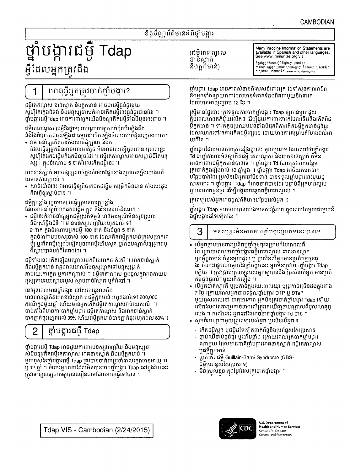Many Vaccine Information Statements are<br>available in Spanish and other languages.

See www.immunize.org/vis

ខិត្តប័ណ្ណព័ត៌មានស្តីអំពីថ្នាំបង្អារមួយចំនួន

## ខិត្តប័ណ្ណព័ត៌មានអំពីថ្នាំបង្គារ

(ជមីតេតណ្ឌស

ខាន់ស្លាក់

និងកួកមាន)

# ថ្នាំបង្ការជម្ងឺ Tdap អ្វីដែលអ្នកត្រវដឹង

ស្ស 1 ក្នុងចំណោម 5 នាក់ដែលកើតជម្ងឺនេះ ។

ជម្ងឺកួកខ្លាំង (កួកមាន់) វាធ្វើឲ្យមានការកួកខ្លាំង

ដែលអាចនាំឲ្យពិបាកដកដង្ហើម ក្អួត និងវំខានដល់ដំណេក ។

និងស្រាំឆ្អឹងជំនី ។ មានមនុស្សពេញវ័យរហូតដល់ទៅ 2 នាក់ ក្នុងចំណោមអ្នកជម្ងឺ 100 នាក់ និងចំនួន 5 នាក់

និងជម្មីក្អកមាន វាឆ្លងរាលដាលពីមនុស្សម្នាក់ទៅមនុស្សម្នាក់

ចាប់តាំងពីមានការចាក់ថ្នាំបង្ការ ជម្ងឺតេតាណូស និងរោគខាន់ស្លាក់

ថ្នាំបង្ការជម្ងឺ Tdap អាចជួយការពារមនុស្សពេញវ័យ និងមនុស្សចា

ស់មិនឲ្យកើតជម្ងឺតេតាណូស រោគខាន់ស្លាក់ និងជម្ងឺក្អកមាន់ ។

ត្រូវទៅឲ្យពេទ្យចាក់ឲ្យបានលឿនតាមដែលអាចធ្វើទៅបាន ។

បានធ្លាក់ចុះហ្វេតដល់ 99% ហើយជម្ងឺក្អកមាន់បានធ្លាក់ចុះរហូតដល់ 80% ។

មួយដួសនៃថ្នាំបង្ការជម្ងឺ Tdap ត្រូវបានចាក់ជាប្រចាំពេលក្មេងមានអាយុ 11

ឬ 12 ឆ្នាំ ។ ចំពោះអ្នកណាដែលមិនបានចាក់ថ្នាំបង្ការ Tdap នៅក្នុងវ័យនេះ

នុស្សតាមរយ:ស្នាមរបួស ស្នាមដាច់ស្បែក ឬកំដំបៅ ។

នៅមុនពេលមានថ្នាំបង្គារ នៅសហរដ្ឋអាមេរិក

ថ្នាំបង្ការជម៉ឺ Tdap

• ជម្ងឺនេះក៏អាចនាំឲ្យអ្នកជម្ងឺស្រក់ទម្ងន់ មានអារម្មណ៍មិនសុខស្រល

ក្នុងចំណោមមនុស្សចាស់ 100 នាក់ ដែលកើតជម្ងឺក្អកមាន់ត្រូវសម្រាកពេ

យមានភាពក្រាស់ ។

និងធ្វើឲ្យស្លាប់បាន ។

ងឺស្លាប់បាត់បង់ជីវិតផងដែរ ។

2

# ហេតុអ្វីអ្នកត្រូវចាក់ថ្នាំបង្គារ?

ជម្ងឺតេតណ្ហស ខាន់ស្លាក់ និងក្អកមាន់ អាចជាជម្ងឺធ្ងន់ធ្ងរមួយ សូម្បីតែក្មេងជំទង់ និងមនុស្សចាស់កំអាចកើតជម្ងឺនេះធ្ងន់ធ្ងរបានដែរ ។ ថ្នាំបង្ការជម្ងឺTdap អាចការពារពួកយើងមិនឲ្យកើតជម្ងឺទាំងបីមុខនេះបាន ។

និងរឹងពិបាកបត់ចុះឡើងជាធម្មតាវាកើតឡើងចំពោះសាច់ដុំពេញរាងកាយ។ • វាអាចនាំឲ្យកើតការតឹងសាច់ដុំក្បាល និងក

ដែលធ្វើឲ្យអ្នកមិនអាចហារមាត់រួច មិនអាចលេបអ៊ីចូលបាន ឬពេលខ្លះ

ពោគខាន់ស្លាក់ អាចបង្កឲ្យសាច់ក្នុងបំពង់កផ្នែកខាងក្រោយឡើងប៉ោងហើ

• សាច់ប៉ោងនេះ វាអាចធ្វើឲ្យពិបាកដកដង្ហើម កម្រើកមិនបាន គាំងបេះដូង

សូម្បីតែដកដង្ហើមកំដកមិនរួចដែរ ។ ជម្ងឺតេតាណូសអាចសម្លាប់ជីវិតមនុ

ជម្ងឺគេតាណូស (ជម្ងឺរឹងថ្កាម) វាបណ្តាលឲ្យសាច់ដុំឈឺឡើងតឹង

និងអ្នកទាំងទ្បាយណាដែលមានទំនាក់ទំនងជិតជាមួយនឹងទារក ដែលមានអាយុក្រោម 12 ខែ ។

ស្ត្រីមានផ្ទៃពោះ ត្រូវទទួលការចាក់ថ្នាំបង្ការ Tdap ឲ្យបានមួយដួស ក្នុងពេលមានគភ៌មួយលើកៗ ដើម្បីជួយការពារទារកដែលទើបនឹងកើតពីជ ម្ចឹក្អកមាន់ ។ ទារកតូចប្រឈមមុខខ្លាំងបំផុតពីការកើតជម្ងឺក្អកមាន់ធ្ងន់ធ្ងរ ដែលឈានទៅរកការកើតជម្ងឺផ្សេងៗ ដោយមានការគម្រាមកំហែងដល់អា យុជីវិត ។

ថ្នាំបង្ការ Tdap មានភាពសំខាន់ពិសេសចំពោះអ្នក ថែទាំសុខភាពអាជីព

ថ្នាំបង្ការដែលមានភាពស្រដៀងគ្នានេះ មួយប្រភេទ ដែលហៅថាថ្នាំបង្ការ Td ជាថ្នាំការពារមិនឲ្យកើតជម្ងឺ តេតាណូស និងរោគខាន់ស្លាក់ គឺមិន អាចការពារជម្ងឺក្អកមាន់បានទេ ។ ថ្នាំបង្គារ Td ដែលត្រូវចាក់បន្ថែម ត្រវចាក់ក្នុងរៀងរាល់ 10 ឆ្នាំម្ដង ។ ថ្នាំបង្ការ Tdap អាច័យកមកចាក់ បន្ថែមបានដែរ ប្រសិនបើអ្នកនៅមិនទាន់ បានទទួលថ្នាំបង្ការនេះមួយដ្ សទេនោះ ។ ថ្នាំបង្ការ Tdap កំអាចចាក់បានដែរ បន្ទាប់ពីអ្នកមានរបួស ឬការរលាកធ្ងន់ធ្ងរ ដើម្បីបង្ការការឆ្លងជម្ងឺតេតាណូស ។

គ្រូពេទ្យរបស់អ្នកអាចផ្តល់ព័ត៌មានបន្ថែមដល់អ្នក ។

ថ្នាំបង្ការ Tdap អាចចាក់បានយ៉ាងមានសុវត្ថិភាព ក្នុងពេលតែមួយជាមួយនឹ ងថ្នាំបង្ការដទៃទៀតដែរ ។

3 មនុស្សខ្លះមិនអាចចាក់ថ្នាំបង្ការប្រភេទនេះបានទេ

- បើអ្នកធ្លាប់មានការប្រតិកម្មថ្នាំធ្ងន់ធ្ងរគម្រាមកំហែងដល់ជី វិត ក្រោយពេលចាក់ថ្នាំបង្ការជម្ងឺតេតាណូស រោគខាន់ស្លាក់ ឬជម្ងឺក្អកមាន់ ចំនួនមួយដួស ឬ ប្រសិនបើអ្នកមានប្រតិកម្មធ្ងន់ធ្ ងរ ចំពោះផ្នែកណាមួយនៃថ្នាំបង្ការនេះ អ្នកមិនត្រូវចាក់ថ្នាំបង្ការ Tdap
- ឡើយ ។ ត្រវប្រាប់គ្រពេទ្យរបស់អ្នកឲ្យបានដឹង ប្រសិនបើអ្នក មានប្រតិ កម្មធ្ងន់ធ្ងរណ៍មួយកើតឡើង ។ • បើអ្នកបាត់ស្មារតី ឬប្រកាច់ក្នុងរយៈពេលយូរ ឬប្រកាច់ច្រើនដងក្នុងរវាង 7 ថ្ងៃ ក្រោយពេលអ្នកបានទទួលថ្នាំបង្គារ DTP ឬ DTaP
- មួយដួសពេលនៅ ជាកុមារភាព អ្នកមិនត្រូវចាក់ថ្នាំបង្គារ Tdap ទ្បើយ លើកលែងតែការប្រកាច់ខាងលើត្រវរកឃើញថាបណ្តាលពីមូលហេតុផ្
- 
- 
- 
- 

# ដម្ងឺទាំងនេះ កើតឡើងបណ្តាលមកពីមេរោគបាត់តេរី ។ រោគខាន់ស្ងាក់ តាមរយៈការកួក ឬការកណ្តាស់ ។ ជម្ងឺតេតាណ្ហស ឆ្លងចូលក្នុងរាងកាយម

ធ្លាប់ឈឺចាប់ធ្ងន់ធ្ងរ ឬហើមខ្លាំង ក្រោយពេលអ្នកចាក់ថ្នាំបង្ការ ណាមួយ ដែលមានជាតិថ្នាំបង្ការរោគខាន់ស្លាក់ ជម្ងឺតេតាណូស

ឬជម្ងឺក្អកមាន់

ជមិប្រព័ន្ធសសៃប្រសាទ)

- កើតជម្ងឺស្កន់ ឬជម្ងឺដទៃទៀតពាក់ព័ន្ធនឹងប្រព័ន្ធសសៃប្រសាទ
- 
- សូមពិភាក្សាជាមួយគ្រពេទ្យរបស់អ្នក ប្រសិនបើអ្នក ៖

- ធ្លាប់កើតជម្ងឺ Guillain-Barré Syndrome (GBS-

- មិនស្រលខ្លួន ក្នុងថ្ងៃដែលត្រវចាក់ថ្នាំបង្ការ ។

សេង ។ ករណីនេះ អ្នកនៅតែអាចចំាក់ថ្នាំបង្ការ Td បាន ។

មានពលរដ្ឋកើតរោគខាន់ស្លាក់ ឬជម្ងឺក្អួកមាន់ រហូតដល់ទៅ 200,000 ករណីក្នុងមួយឆ្នាំ ហើយមានអ្នកកើតជំមុឺតេតាណូសរាប់រយករណី ។

# ទុំ្រ ឬកើតជម្ងឺផ្សេងៗទៀតដូចជាជម្ងឺហើមសូត ឬអាចបណ្តាលឲ្យអ្នកជម្